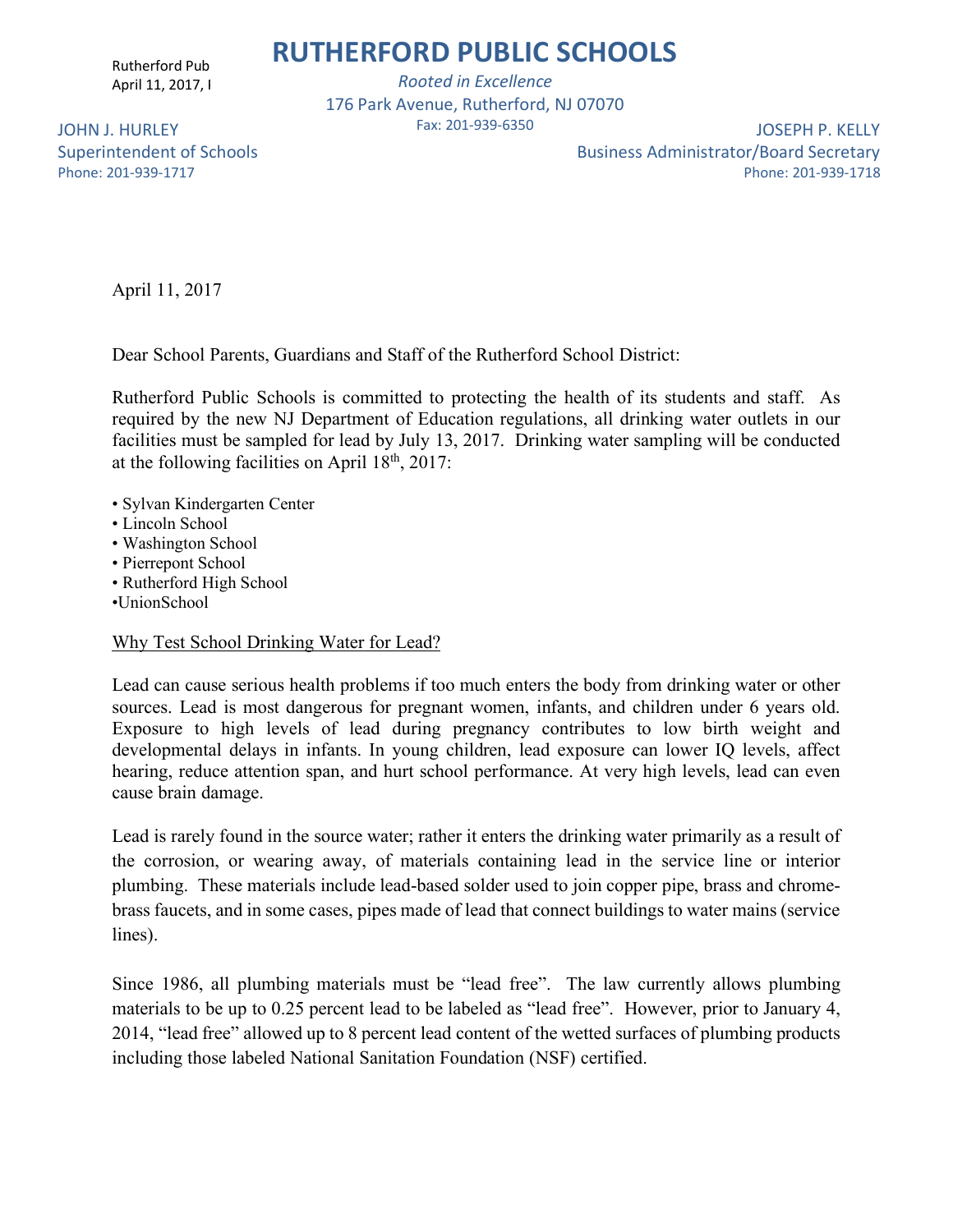Rutherford Pub April 11, 2017, I

*Rooted in Excellence* 176 Park Avenue, Rutherford, NJ 07070 Fax: 201-939-6350

JOHN J. HURLEY Superintendent of Schools Phone: 201-939-1717

JOSEPH P. KELLY Business Administrator/Board Secretary Phone: 201-939-1718

April 11, 2017

Dear School Parents, Guardians and Staff of the Rutherford School District:

Rutherford Public Schools is committed to protecting the health of its students and staff. As required by the new NJ Department of Education regulations, all drinking water outlets in our facilities must be sampled for lead by July 13, 2017. Drinking water sampling will be conducted at the following facilities on April  $18<sup>th</sup>$ , 2017:

- Sylvan Kindergarten Center
- Lincoln School
- Washington School
- Pierrepont School
- Rutherford High School
- •UnionSchool

### Why Test School Drinking Water for Lead?

Lead can cause serious health problems if too much enters the body from drinking water or other sources. Lead is most dangerous for pregnant women, infants, and children under 6 years old. Exposure to high levels of lead during pregnancy contributes to low birth weight and developmental delays in infants. In young children, lead exposure can lower IQ levels, affect hearing, reduce attention span, and hurt school performance. At very high levels, lead can even cause brain damage.

Lead is rarely found in the source water; rather it enters the drinking water primarily as a result of the corrosion, or wearing away, of materials containing lead in the service line or interior plumbing. These materials include lead-based solder used to join copper pipe, brass and chromebrass faucets, and in some cases, pipes made of lead that connect buildings to water mains (service lines).

Since 1986, all plumbing materials must be "lead free". The law currently allows plumbing materials to be up to 0.25 percent lead to be labeled as "lead free". However, prior to January 4, 2014, "lead free" allowed up to 8 percent lead content of the wetted surfaces of plumbing products including those labeled National Sanitation Foundation (NSF) certified.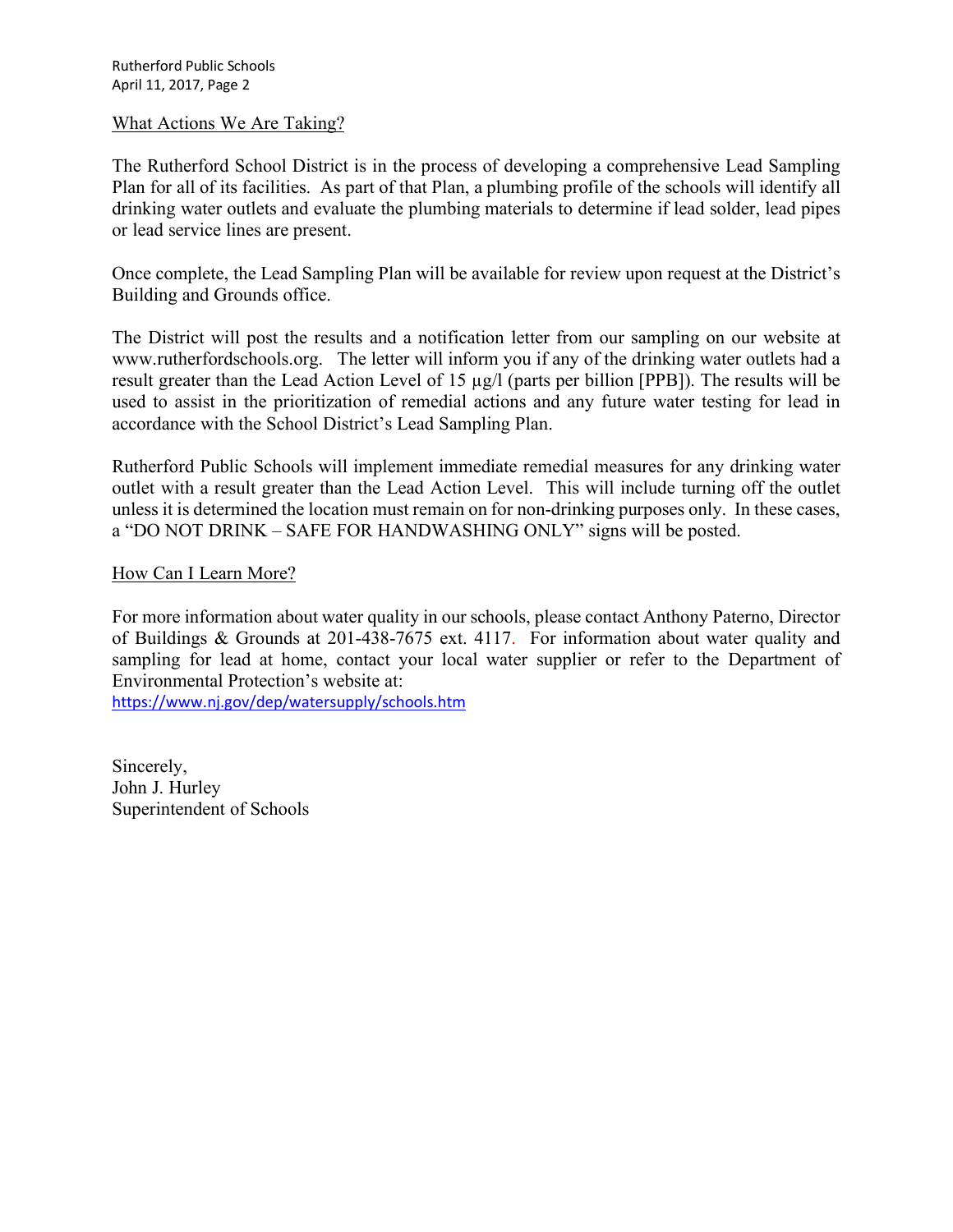#### What Actions We Are Taking?

The Rutherford School District is in the process of developing a comprehensive Lead Sampling Plan for all of its facilities. As part of that Plan, a plumbing profile of the schools will identify all drinking water outlets and evaluate the plumbing materials to determine if lead solder, lead pipes or lead service lines are present.

Once complete, the Lead Sampling Plan will be available for review upon request at the District's Building and Grounds office.

The District will post the results and a notification letter from our sampling on our website at www.rutherfordschools.org. The letter will inform you if any of the drinking water outlets had a result greater than the Lead Action Level of 15 µg/l (parts per billion [PPB]). The results will be used to assist in the prioritization of remedial actions and any future water testing for lead in accordance with the School District's Lead Sampling Plan.

Rutherford Public Schools will implement immediate remedial measures for any drinking water outlet with a result greater than the Lead Action Level. This will include turning off the outlet unless it is determined the location must remain on for non-drinking purposes only. In these cases, a "DO NOT DRINK – SAFE FOR HANDWASHING ONLY" signs will be posted.

### How Can I Learn More?

For more information about water quality in our schools, please contact Anthony Paterno, Director of Buildings & Grounds at 201-438-7675 ext. 4117. For information about water quality and sampling for lead at home, contact your local water supplier or refer to the Department of Environmental Protection's website at:

https://www.nj.gov/dep/watersupply/schools.htm

Sincerely, John J. Hurley Superintendent of Schools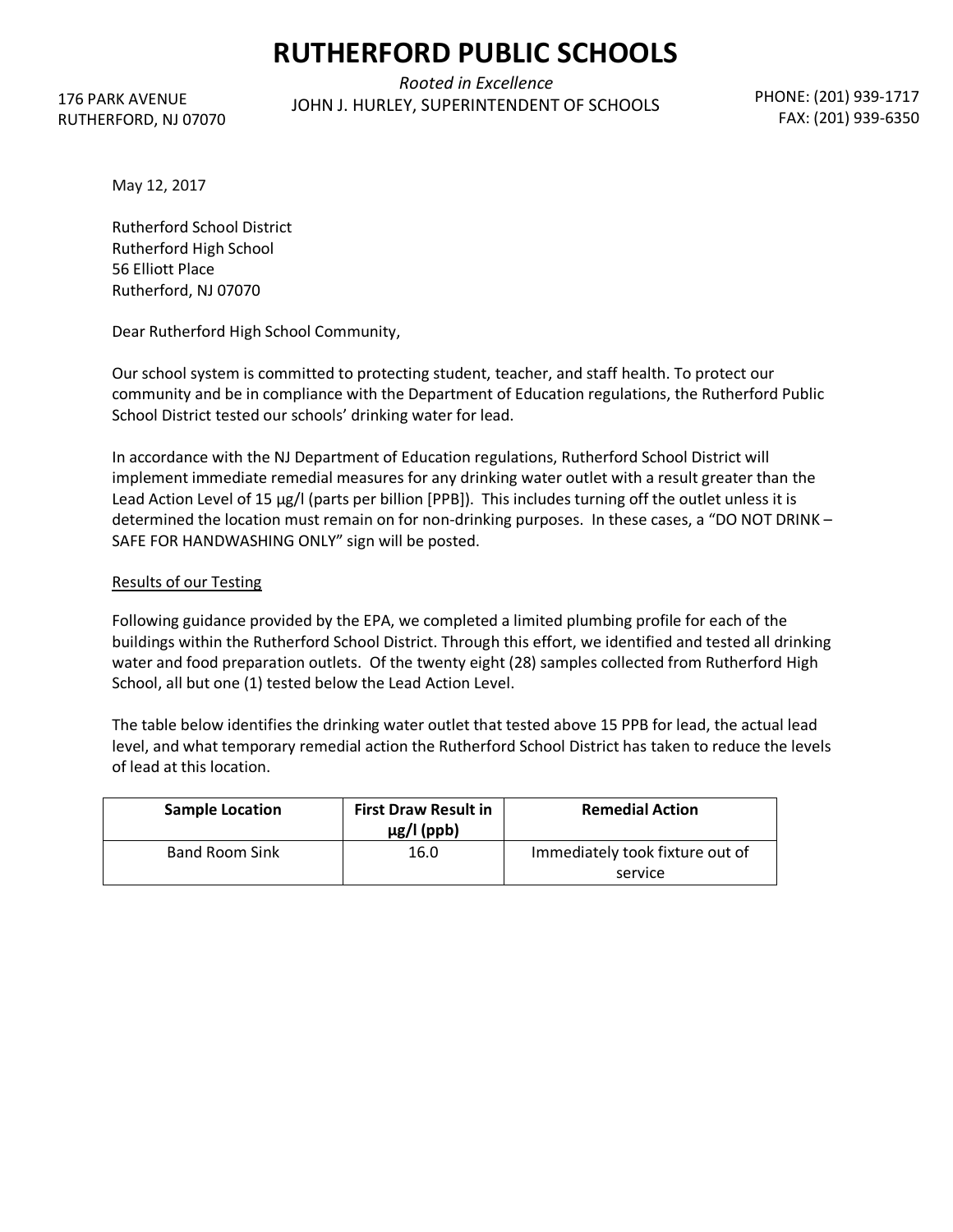RUTHERFORD, NJ 07070 176 PARK AVENUE

*Rooted in Excellence* JOHN J. HURLEY, SUPERINTENDENT OF SCHOOLS PHONE: (201) 939-1717

FAX: (201) 939-6350

May 12, 2017

Rutherford School District Rutherford High School 56 Elliott Place Rutherford, NJ 07070

Dear Rutherford High School Community,

Our school system is committed to protecting student, teacher, and staff health. To protect our community and be in compliance with the Department of Education regulations, the Rutherford Public School District tested our schools' drinking water for lead.

In accordance with the NJ Department of Education regulations, Rutherford School District will implement immediate remedial measures for any drinking water outlet with a result greater than the Lead Action Level of 15 µg/l (parts per billion [PPB]). This includes turning off the outlet unless it is determined the location must remain on for non-drinking purposes. In these cases, a "DO NOT DRINK – SAFE FOR HANDWASHING ONLY" sign will be posted.

#### Results of our Testing

Following guidance provided by the EPA, we completed a limited plumbing profile for each of the buildings within the Rutherford School District. Through this effort, we identified and tested all drinking water and food preparation outlets. Of the twenty eight (28) samples collected from Rutherford High School, all but one (1) tested below the Lead Action Level.

The table below identifies the drinking water outlet that tested above 15 PPB for lead, the actual lead level, and what temporary remedial action the Rutherford School District has taken to reduce the levels of lead at this location.

| <b>Sample Location</b> | <b>First Draw Result in</b><br>$\mu$ g/l (ppb) | <b>Remedial Action</b>                     |
|------------------------|------------------------------------------------|--------------------------------------------|
| <b>Band Room Sink</b>  | 16.0                                           | Immediately took fixture out of<br>service |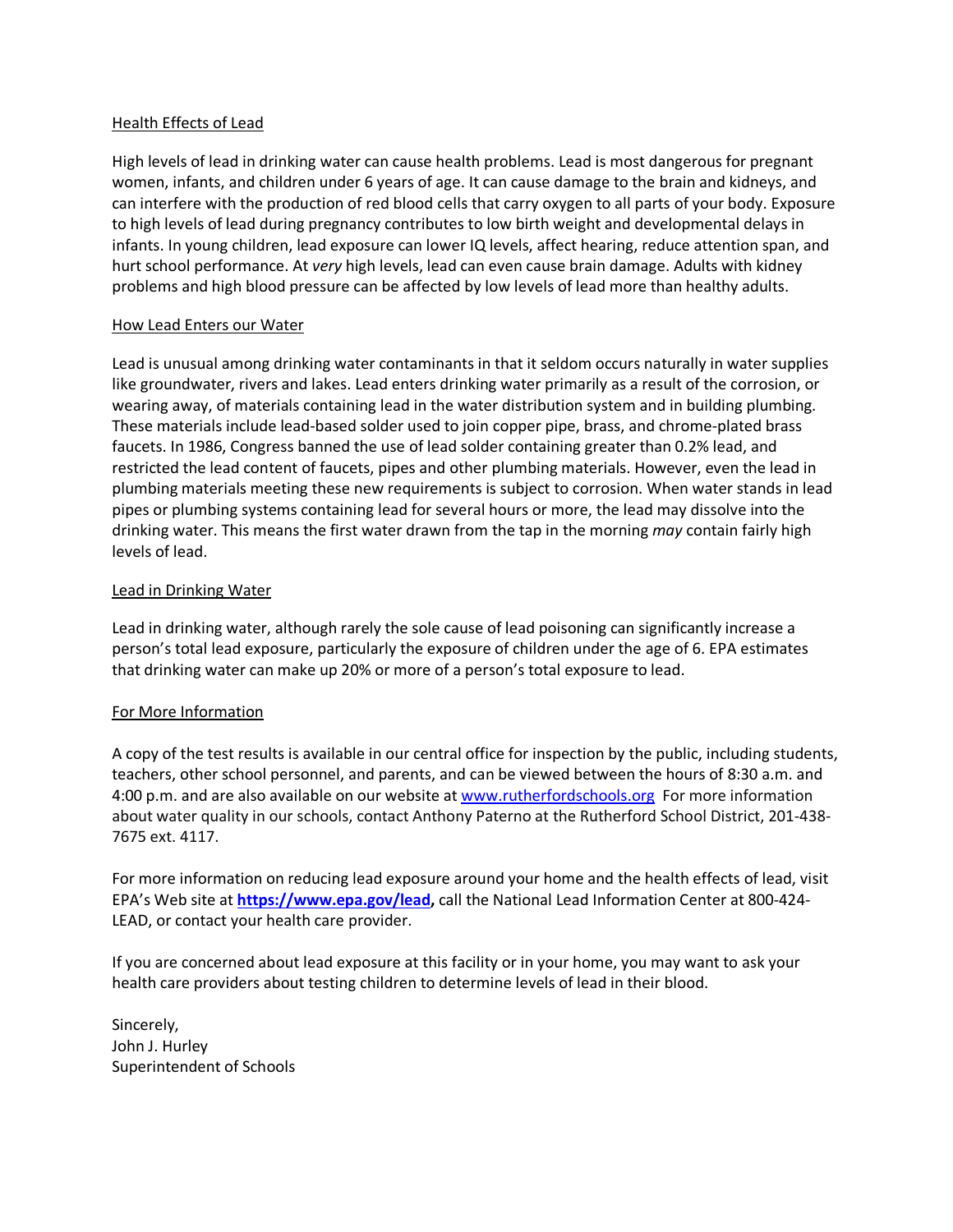#### Health Effects of Lead

High levels of lead in drinking water can cause health problems. Lead is most dangerous for pregnant women, infants, and children under 6 years of age. It can cause damage to the brain and kidneys, and can interfere with the production of red blood cells that carry oxygen to all parts of your body. Exposure to high levels of lead during pregnancy contributes to low birth weight and developmental delays in infants. In young children, lead exposure can lower IQ levels, affect hearing, reduce attention span, and hurt school performance. At *very* high levels, lead can even cause brain damage. Adults with kidney problems and high blood pressure can be affected by low levels of lead more than healthy adults.

#### How Lead Enters our Water

Lead is unusual among drinking water contaminants in that it seldom occurs naturally in water supplies like groundwater, rivers and lakes. Lead enters drinking water primarily as a result of the corrosion, or wearing away, of materials containing lead in the water distribution system and in building plumbing. These materials include lead-based solder used to join copper pipe, brass, and chrome-plated brass faucets. In 1986, Congress banned the use of lead solder containing greater than 0.2% lead, and restricted the lead content of faucets, pipes and other plumbing materials. However, even the lead in plumbing materials meeting these new requirements is subject to corrosion. When water stands in lead pipes or plumbing systems containing lead for several hours or more, the lead may dissolve into the drinking water. This means the first water drawn from the tap in the morning *may* contain fairly high levels of lead.

#### Lead in Drinking Water

Lead in drinking water, although rarely the sole cause of lead poisoning can significantly increase a person's total lead exposure, particularly the exposure of children under the age of 6. EPA estimates that drinking water can make up 20% or more of a person's total exposure to lead.

#### For More Information

A copy of the test results is available in our central office for inspection by the public, including students, teachers, other school personnel, and parents, and can be viewed between the hours of 8:30 a.m. and 4:00 p.m. and are also available on our website at www.rutherfordschools.org For more information about water quality in our schools, contact Anthony Paterno at the Rutherford School District, 201-438- 7675 ext. 4117.

For more information on reducing lead exposure around your home and the health effects of lead, visit EPA's Web site at **https://www.epa.gov/lead,** call the National Lead Information Center at 800-424- LEAD, or contact your health care provider.

If you are concerned about lead exposure at this facility or in your home, you may want to ask your health care providers about testing children to determine levels of lead in their blood.

Sincerely, John J. Hurley Superintendent of Schools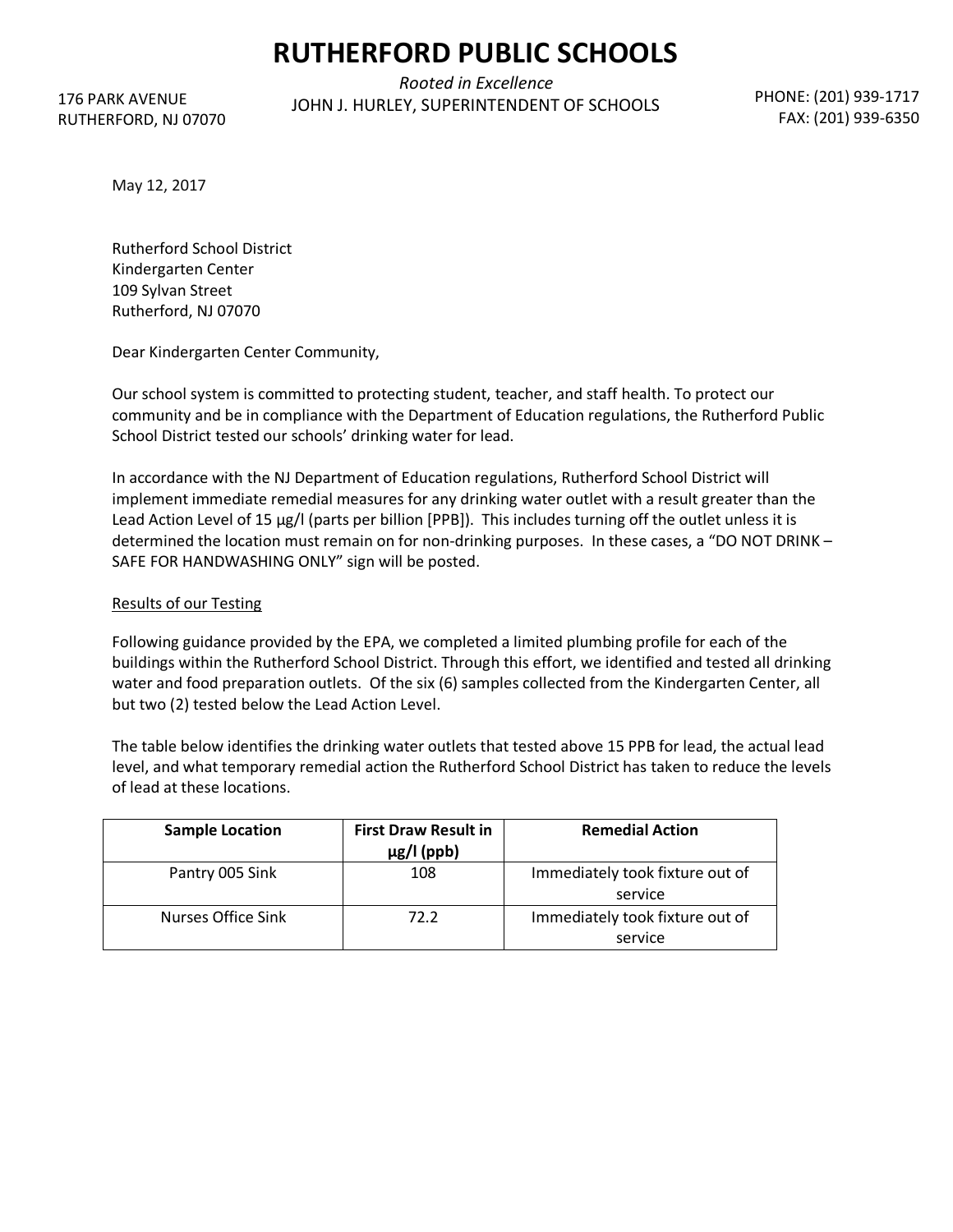RUTHERFORD, NJ 07070 176 PARK AVENUE

*Rooted in Excellence* JOHN J. HURLEY, SUPERINTENDENT OF SCHOOLS PHONE: (201) 939-1717

FAX: (201) 939-6350

May 12, 2017

Rutherford School District Kindergarten Center 109 Sylvan Street Rutherford, NJ 07070

Dear Kindergarten Center Community,

Our school system is committed to protecting student, teacher, and staff health. To protect our community and be in compliance with the Department of Education regulations, the Rutherford Public School District tested our schools' drinking water for lead.

In accordance with the NJ Department of Education regulations, Rutherford School District will implement immediate remedial measures for any drinking water outlet with a result greater than the Lead Action Level of 15 µg/l (parts per billion [PPB]). This includes turning off the outlet unless it is determined the location must remain on for non-drinking purposes. In these cases, a "DO NOT DRINK – SAFE FOR HANDWASHING ONLY" sign will be posted.

#### Results of our Testing

Following guidance provided by the EPA, we completed a limited plumbing profile for each of the buildings within the Rutherford School District. Through this effort, we identified and tested all drinking water and food preparation outlets. Of the six (6) samples collected from the Kindergarten Center, all but two (2) tested below the Lead Action Level.

The table below identifies the drinking water outlets that tested above 15 PPB for lead, the actual lead level, and what temporary remedial action the Rutherford School District has taken to reduce the levels of lead at these locations.

| <b>Sample Location</b> | <b>First Draw Result in</b><br>$\mu$ g/l (ppb) | <b>Remedial Action</b>                     |
|------------------------|------------------------------------------------|--------------------------------------------|
| Pantry 005 Sink        | 108                                            | Immediately took fixture out of<br>service |
| Nurses Office Sink     | 72.2                                           | Immediately took fixture out of<br>service |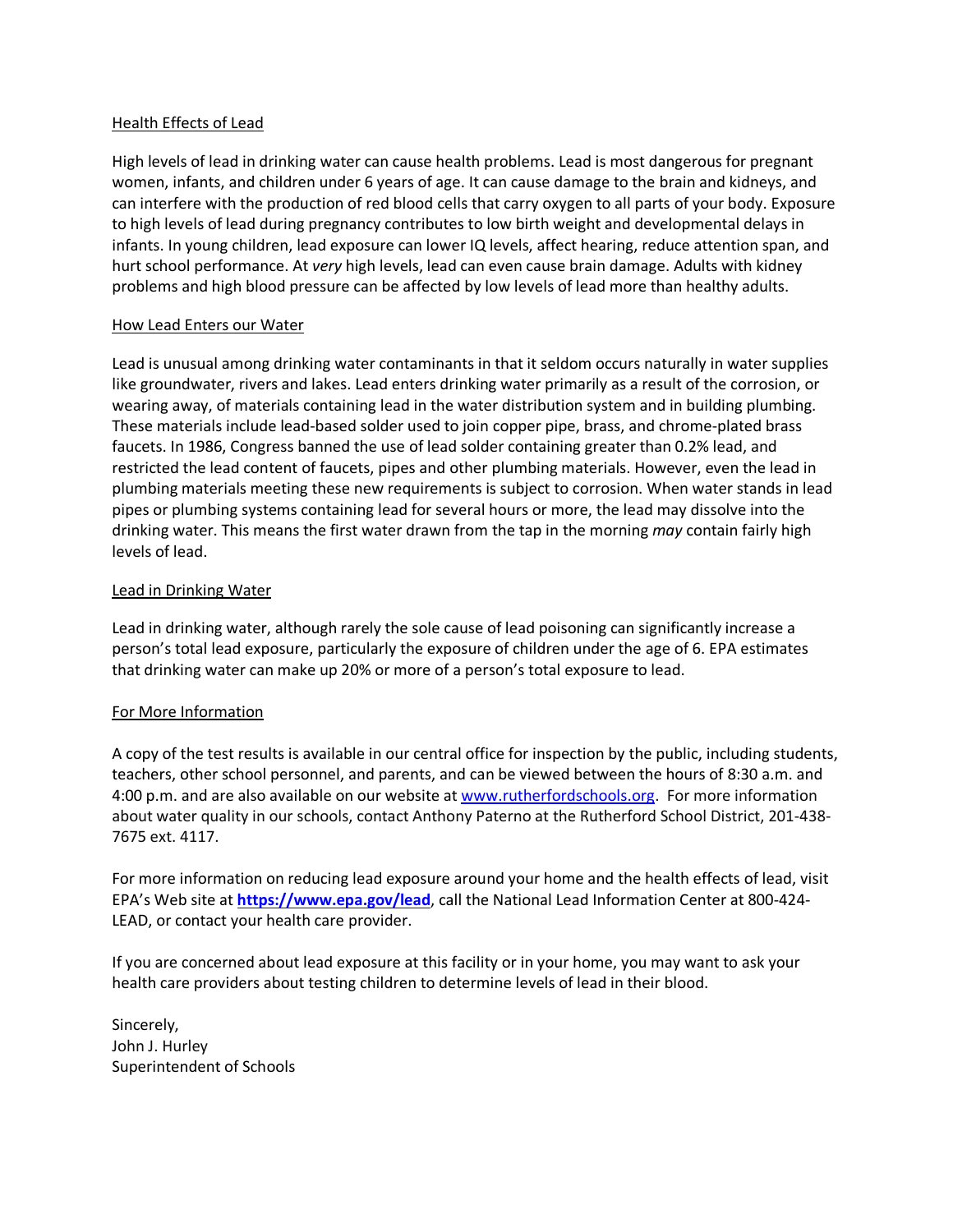#### Health Effects of Lead

High levels of lead in drinking water can cause health problems. Lead is most dangerous for pregnant women, infants, and children under 6 years of age. It can cause damage to the brain and kidneys, and can interfere with the production of red blood cells that carry oxygen to all parts of your body. Exposure to high levels of lead during pregnancy contributes to low birth weight and developmental delays in infants. In young children, lead exposure can lower IQ levels, affect hearing, reduce attention span, and hurt school performance. At *very* high levels, lead can even cause brain damage. Adults with kidney problems and high blood pressure can be affected by low levels of lead more than healthy adults.

#### How Lead Enters our Water

Lead is unusual among drinking water contaminants in that it seldom occurs naturally in water supplies like groundwater, rivers and lakes. Lead enters drinking water primarily as a result of the corrosion, or wearing away, of materials containing lead in the water distribution system and in building plumbing. These materials include lead-based solder used to join copper pipe, brass, and chrome-plated brass faucets. In 1986, Congress banned the use of lead solder containing greater than 0.2% lead, and restricted the lead content of faucets, pipes and other plumbing materials. However, even the lead in plumbing materials meeting these new requirements is subject to corrosion. When water stands in lead pipes or plumbing systems containing lead for several hours or more, the lead may dissolve into the drinking water. This means the first water drawn from the tap in the morning *may* contain fairly high levels of lead.

#### Lead in Drinking Water

Lead in drinking water, although rarely the sole cause of lead poisoning can significantly increase a person's total lead exposure, particularly the exposure of children under the age of 6. EPA estimates that drinking water can make up 20% or more of a person's total exposure to lead.

#### For More Information

A copy of the test results is available in our central office for inspection by the public, including students, teachers, other school personnel, and parents, and can be viewed between the hours of 8:30 a.m. and 4:00 p.m. and are also available on our website at www.rutherfordschools.org. For more information about water quality in our schools, contact Anthony Paterno at the Rutherford School District, 201-438- 7675 ext. 4117.

For more information on reducing lead exposure around your home and the health effects of lead, visit EPA's Web site at **https://www.epa.gov/lead**, call the National Lead Information Center at 800-424- LEAD, or contact your health care provider.

If you are concerned about lead exposure at this facility or in your home, you may want to ask your health care providers about testing children to determine levels of lead in their blood.

Sincerely, John J. Hurley Superintendent of Schools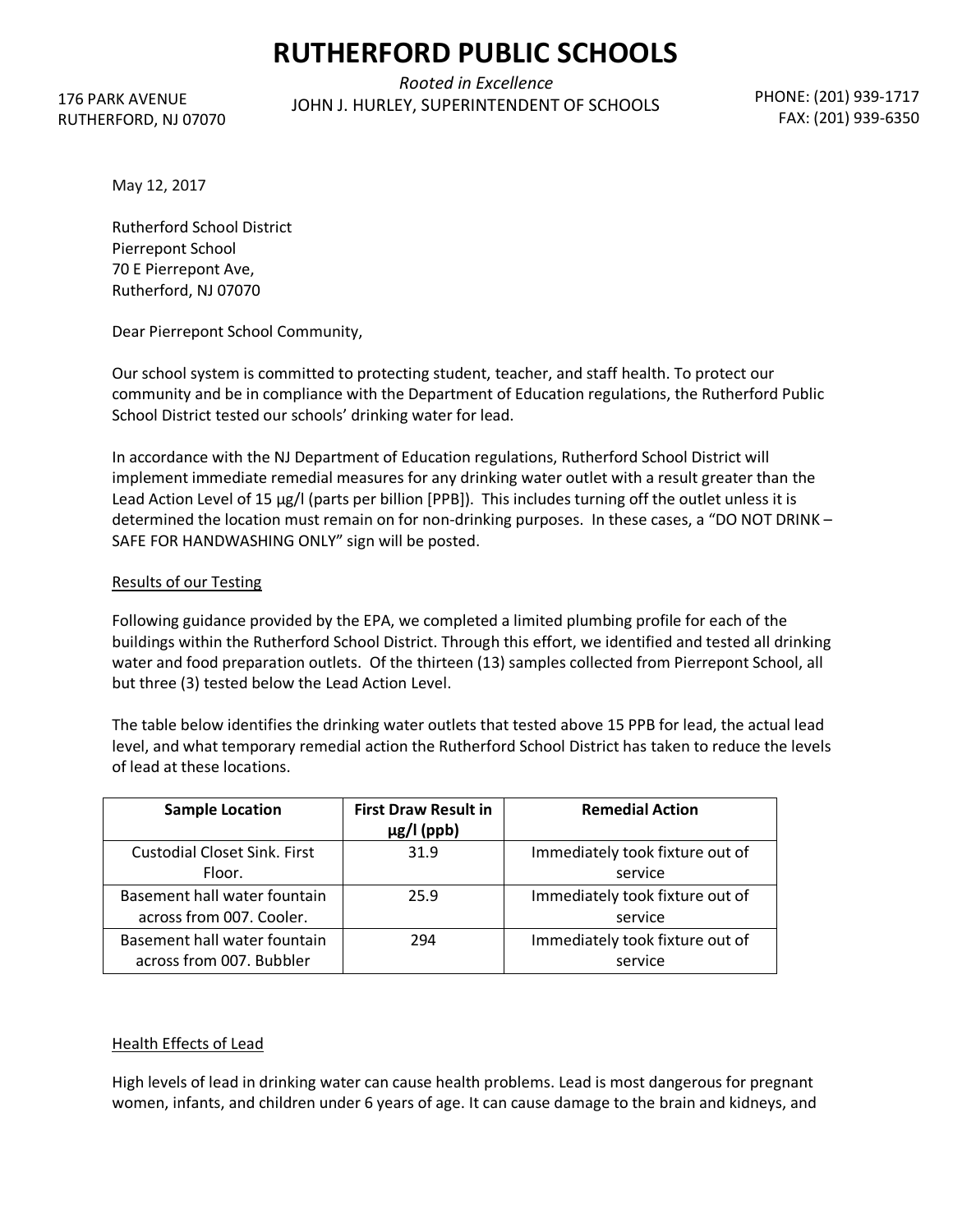RUTHERFORD, NJ 07070 176 PARK AVENUE

*Rooted in Excellence* JOHN J. HURLEY, SUPERINTENDENT OF SCHOOLS PHONE: (201) 939-1717

FAX: (201) 939-6350

May 12, 2017

Rutherford School District Pierrepont School 70 E Pierrepont Ave, Rutherford, NJ 07070

Dear Pierrepont School Community,

Our school system is committed to protecting student, teacher, and staff health. To protect our community and be in compliance with the Department of Education regulations, the Rutherford Public School District tested our schools' drinking water for lead.

In accordance with the NJ Department of Education regulations, Rutherford School District will implement immediate remedial measures for any drinking water outlet with a result greater than the Lead Action Level of 15 µg/l (parts per billion [PPB]). This includes turning off the outlet unless it is determined the location must remain on for non-drinking purposes. In these cases, a "DO NOT DRINK – SAFE FOR HANDWASHING ONLY" sign will be posted.

#### Results of our Testing

Following guidance provided by the EPA, we completed a limited plumbing profile for each of the buildings within the Rutherford School District. Through this effort, we identified and tested all drinking water and food preparation outlets. Of the thirteen (13) samples collected from Pierrepont School, all but three (3) tested below the Lead Action Level.

The table below identifies the drinking water outlets that tested above 15 PPB for lead, the actual lead level, and what temporary remedial action the Rutherford School District has taken to reduce the levels of lead at these locations.

| <b>Sample Location</b>              | <b>First Draw Result in</b> | <b>Remedial Action</b>          |
|-------------------------------------|-----------------------------|---------------------------------|
|                                     | $\mu$ g/l (ppb)             |                                 |
| <b>Custodial Closet Sink. First</b> | 31.9                        | Immediately took fixture out of |
| Floor.                              |                             | service                         |
| Basement hall water fountain        | 25.9                        | Immediately took fixture out of |
| across from 007. Cooler.            |                             | service                         |
| Basement hall water fountain        | 294                         | Immediately took fixture out of |
| across from 007. Bubbler            |                             | service                         |

#### Health Effects of Lead

High levels of lead in drinking water can cause health problems. Lead is most dangerous for pregnant women, infants, and children under 6 years of age. It can cause damage to the brain and kidneys, and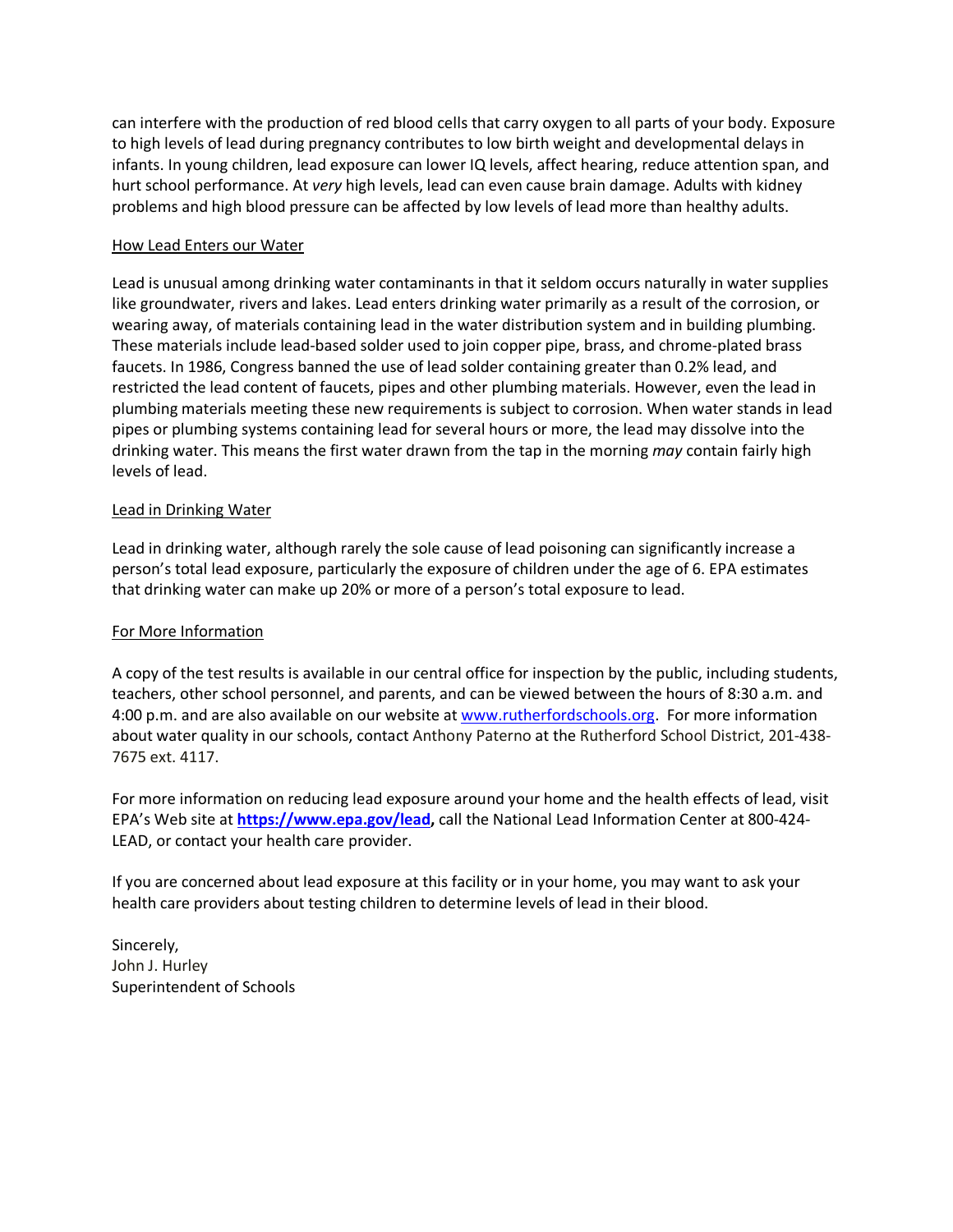can interfere with the production of red blood cells that carry oxygen to all parts of your body. Exposure to high levels of lead during pregnancy contributes to low birth weight and developmental delays in infants. In young children, lead exposure can lower IQ levels, affect hearing, reduce attention span, and hurt school performance. At *very* high levels, lead can even cause brain damage. Adults with kidney problems and high blood pressure can be affected by low levels of lead more than healthy adults.

#### How Lead Enters our Water

Lead is unusual among drinking water contaminants in that it seldom occurs naturally in water supplies like groundwater, rivers and lakes. Lead enters drinking water primarily as a result of the corrosion, or wearing away, of materials containing lead in the water distribution system and in building plumbing. These materials include lead-based solder used to join copper pipe, brass, and chrome-plated brass faucets. In 1986, Congress banned the use of lead solder containing greater than 0.2% lead, and restricted the lead content of faucets, pipes and other plumbing materials. However, even the lead in plumbing materials meeting these new requirements is subject to corrosion. When water stands in lead pipes or plumbing systems containing lead for several hours or more, the lead may dissolve into the drinking water. This means the first water drawn from the tap in the morning *may* contain fairly high levels of lead.

#### Lead in Drinking Water

Lead in drinking water, although rarely the sole cause of lead poisoning can significantly increase a person's total lead exposure, particularly the exposure of children under the age of 6. EPA estimates that drinking water can make up 20% or more of a person's total exposure to lead.

#### For More Information

A copy of the test results is available in our central office for inspection by the public, including students, teachers, other school personnel, and parents, and can be viewed between the hours of 8:30 a.m. and 4:00 p.m. and are also available on our website at www.rutherfordschools.org. For more information about water quality in our schools, contact Anthony Paterno at the Rutherford School District, 201-438- 7675 ext. 4117.

For more information on reducing lead exposure around your home and the health effects of lead, visit EPA's Web site at **https://www.epa.gov/lead,** call the National Lead Information Center at 800-424- LEAD, or contact your health care provider.

If you are concerned about lead exposure at this facility or in your home, you may want to ask your health care providers about testing children to determine levels of lead in their blood.

Sincerely, John J. Hurley Superintendent of Schools